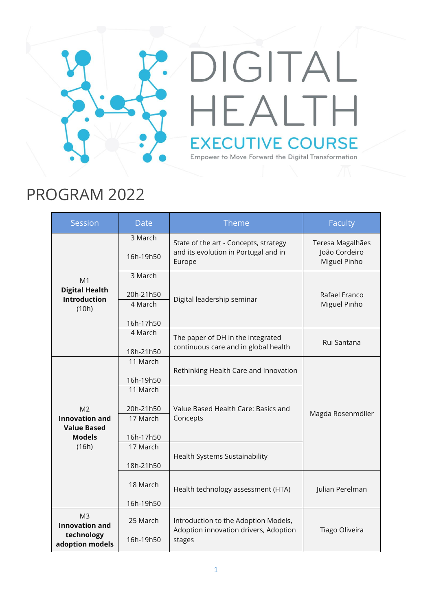## DIGITAL HEALTH **EXECUTIVE COURSE** Empower to Move Forward the Digital Transformation

## PROGRAM 2022

| Session                                                                  | <b>Date</b>                                                | <b>Theme</b>                                                                             | Faculty                                           |
|--------------------------------------------------------------------------|------------------------------------------------------------|------------------------------------------------------------------------------------------|---------------------------------------------------|
|                                                                          | 3 March<br>16h-19h50                                       | State of the art - Concepts, strategy<br>and its evolution in Portugal and in<br>Europe  | Teresa Magalhães<br>João Cordeiro<br>Miguel Pinho |
| M <sub>1</sub><br><b>Digital Health</b><br><b>Introduction</b><br>(10h)  | 3 March<br>20h-21h50<br>4 March<br>16h-17h50               | Digital leadership seminar                                                               | Rafael Franco<br>Miguel Pinho                     |
|                                                                          | 4 March<br>18h-21h50                                       | The paper of DH in the integrated<br>continuous care and in global health                | Rui Santana                                       |
| M <sub>2</sub><br><b>Innovation and</b><br><b>Value Based</b>            | 11 March<br>16h-19h50<br>11 March<br>20h-21h50<br>17 March | Rethinking Health Care and Innovation<br>Value Based Health Care: Basics and<br>Concepts | Magda Rosenmöller                                 |
| <b>Models</b><br>(16h)                                                   | 16h-17h50<br>17 March<br>18h-21h50                         | Health Systems Sustainability                                                            |                                                   |
|                                                                          | 18 March<br>16h-19h50                                      | Health technology assessment (HTA)                                                       | Julian Perelman                                   |
| M <sub>3</sub><br><b>Innovation and</b><br>technology<br>adoption models | 25 March<br>16h-19h50                                      | Introduction to the Adoption Models,<br>Adoption innovation drivers, Adoption<br>stages  | Tiago Oliveira                                    |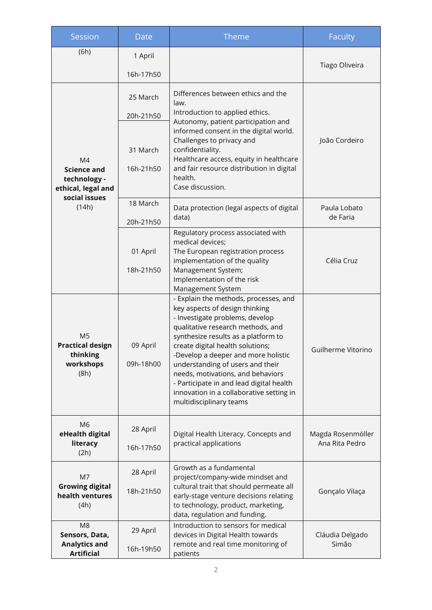| Session                                                                                  | Date                  | Theme                                                                                                                                                                                                                                                                                                                                                                                                                                                         | <b>Faculty</b>                      |
|------------------------------------------------------------------------------------------|-----------------------|---------------------------------------------------------------------------------------------------------------------------------------------------------------------------------------------------------------------------------------------------------------------------------------------------------------------------------------------------------------------------------------------------------------------------------------------------------------|-------------------------------------|
| (6h)                                                                                     | 1 April<br>16h-17h50  |                                                                                                                                                                                                                                                                                                                                                                                                                                                               | Tiago Oliveira                      |
| M4<br><b>Science and</b><br>technology -<br>ethical, legal and<br>social issues<br>(14h) | 25 March<br>20h-21h50 | Differences between ethics and the<br>law.<br>Introduction to applied ethics.                                                                                                                                                                                                                                                                                                                                                                                 |                                     |
|                                                                                          | 31 March<br>16h-21h50 | Autonomy, patient participation and<br>informed consent in the digital world.<br>Challenges to privacy and<br>confidentiality.<br>Healthcare access, equity in healthcare<br>and fair resource distribution in digital<br>health.<br>Case discussion.                                                                                                                                                                                                         | João Cordeiro                       |
|                                                                                          | 18 March<br>20h-21h50 | Data protection (legal aspects of digital<br>data)                                                                                                                                                                                                                                                                                                                                                                                                            | Paula Lobato<br>de Faria            |
|                                                                                          | 01 April<br>18h-21h50 | Regulatory process associated with<br>medical devices;<br>The European registration process<br>implementation of the quality<br>Management System;<br>Implementation of the risk<br>Management System                                                                                                                                                                                                                                                         | Célia Cruz                          |
| M <sub>5</sub><br><b>Practical design</b><br>thinking<br>workshops<br>(8h)               | 09 April<br>09h-18h00 | - Explain the methods, processes, and<br>key aspects of design thinking<br>- Investigate problems, develop<br>qualitative research methods, and<br>synthesize results as a platform to<br>create digital health solutions;<br>-Develop a deeper and more holistic<br>understanding of users and their<br>needs, motivations, and behaviors<br>- Participate in and lead digital health<br>innovation in a collaborative setting in<br>multidisciplinary teams | Guilherme Vitorino                  |
| M <sub>6</sub><br>eHealth digital<br>literacy<br>(2h)                                    | 28 April<br>16h-17h50 | Digital Health Literacy. Concepts and<br>practical applications                                                                                                                                                                                                                                                                                                                                                                                               | Magda Rosenmöller<br>Ana Rita Pedro |
| M7<br><b>Growing digital</b><br>health ventures<br>(4h)                                  | 28 April<br>18h-21h50 | Growth as a fundamental<br>project/company-wide mindset and<br>cultural trait that should permeate all<br>early-stage venture decisions relating<br>to technology, product, marketing,<br>data, regulation and funding.                                                                                                                                                                                                                                       | Gonçalo Vilaça                      |
| M <sub>8</sub><br>Sensors, Data,<br><b>Analytics and</b><br><b>Artificial</b>            | 29 April<br>16h-19h50 | Introduction to sensors for medical<br>devices in Digital Health towards<br>remote and real time monitoring of<br>patients                                                                                                                                                                                                                                                                                                                                    | Cláudia Delgado<br>Simão            |